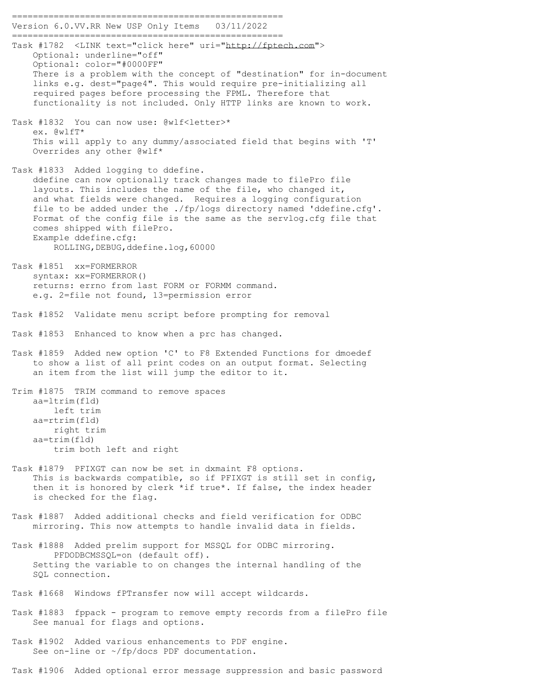==================================================== Version 6.0.VV.RR New USP Only Items 03/11/2022 ==================================================== Task #1782 <LINK text="click here" uri="http://fptech.com"> Optional: underline="off" Optional: color="#0000FF" There is a problem with the concept of "destination" for in-document links e.g. dest="page4". This would require pre-initializing all required pages before processing the FPML. Therefore that functionality is not included. Only HTTP links are known to work. Task #1832 You can now use: @wlf<letter>\* ex. @wlfT\* This will apply to any dummy/associated field that begins with 'T' Overrides any other @wlf\* Task #1833 Added logging to ddefine. ddefine can now optionally track changes made to filePro file layouts. This includes the name of the file, who changed it, and what fields were changed. Requires a logging configuration file to be added under the ./fp/logs directory named 'ddefine.cfg'. Format of the config file is the same as the servlog.cfg file that comes shipped with filePro. Example ddefine.cfg: ROLLING,DEBUG,ddefine.log,60000 Task #1851 xx=FORMERROR syntax: xx=FORMERROR() returns: errno from last FORM or FORMM command. e.g. 2=file not found, 13=permission error Task #1852 Validate menu script before prompting for removal Task #1853 Enhanced to know when a prc has changed. Task #1859 Added new option 'C' to F8 Extended Functions for dmoedef to show a list of all print codes on an output format. Selecting an item from the list will jump the editor to it. Trim #1875 TRIM command to remove spaces aa=ltrim(fld) left trim aa=rtrim(fld) right trim aa=trim(fld) trim both left and right Task #1879 PFIXGT can now be set in dxmaint F8 options. This is backwards compatible, so if PFIXGT is still set in config, then it is honored by clerk \*if true\*. If false, the index header is checked for the flag. Task #1887 Added additional checks and field verification for ODBC mirroring. This now attempts to handle invalid data in fields. Task #1888 Added prelim support for MSSQL for ODBC mirroring. PFDODBCMSSQL=on (default off). Setting the variable to on changes the internal handling of the SQL connection. Task #1668 Windows fPTransfer now will accept wildcards. Task #1883 fppack - program to remove empty records from a filePro file See manual for flags and options. Task #1902 Added various enhancements to PDF engine.

See on-line or ~/fp/docs PDF documentation.

Task #1906 Added optional error message suppression and basic password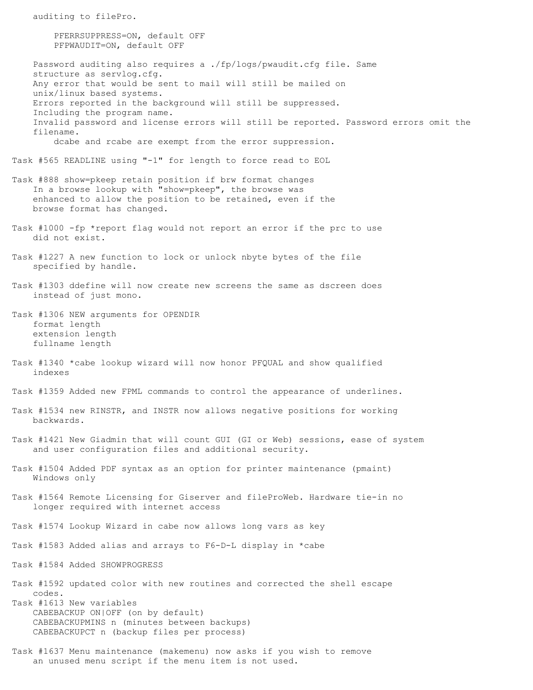auditing to filePro. PFERRSUPPRESS=ON, default OFF PFPWAUDIT=ON, default OFF Password auditing also requires a ./fp/logs/pwaudit.cfg file. Same structure as servlog.cfg. Any error that would be sent to mail will still be mailed on unix/linux based systems. Errors reported in the background will still be suppressed. Including the program name. Invalid password and license errors will still be reported. Password errors omit the filename. dcabe and rcabe are exempt from the error suppression. Task #565 READLINE using "-1" for length to force read to EOL Task #888 show=pkeep retain position if brw format changes In a browse lookup with "show=pkeep", the browse was enhanced to allow the position to be retained, even if the browse format has changed. Task #1000 -fp \*report flag would not report an error if the prc to use did not exist. Task #1227 A new function to lock or unlock nbyte bytes of the file specified by handle. Task #1303 ddefine will now create new screens the same as dscreen does instead of just mono. Task #1306 NEW arguments for OPENDIR format length extension length fullname length Task #1340 \*cabe lookup wizard will now honor PFQUAL and show qualified indexes Task #1359 Added new FPML commands to control the appearance of underlines. Task #1534 new RINSTR, and INSTR now allows negative positions for working backwards. Task #1421 New Giadmin that will count GUI (GI or Web) sessions, ease of system and user configuration files and additional security. Task #1504 Added PDF syntax as an option for printer maintenance (pmaint) Windows only Task #1564 Remote Licensing for Giserver and fileProWeb. Hardware tie-in no longer required with internet access Task #1574 Lookup Wizard in cabe now allows long vars as key Task #1583 Added alias and arrays to F6-D-L display in \*cabe Task #1584 Added SHOWPROGRESS Task #1592 updated color with new routines and corrected the shell escape codes. Task #1613 New variables CABEBACKUP ON|OFF (on by default) CABEBACKUPMINS n (minutes between backups) CABEBACKUPCT n (backup files per process) Task #1637 Menu maintenance (makemenu) now asks if you wish to remove an unused menu script if the menu item is not used.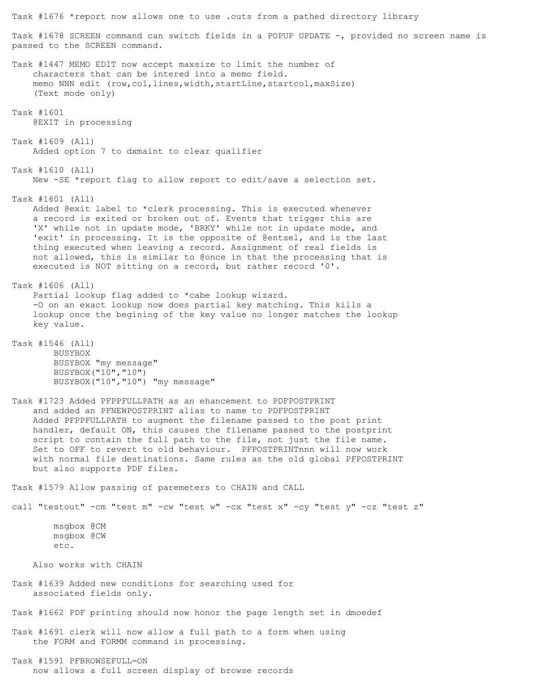Task #1678 SCREEN command can switch fields in a POPUP UPDATE -, provided no screen name is passed to the SCREEN command. Task #1447 MEMO EDIT now accept maxsize to limit the number of characters that can be intered into a memo field. memo NNN edit (row, col, lines, width, startLine, startcol, maxSize) (Text mode only) Task #1601 @EXIT in processing Task #1609 (All) Added option 7 to dxmaint to clear qualifier Task #1610 (All) New -SE \*report flag to allow report to edit/save a selection set. Task #1601 (All) Added @exit label to \*clerk processing. This is executed whenever a record is exited or broken out of. Events that trigger this are 'X' while not in update mode, 'BRKY' while not in update mode, and 'exit' in processing. It is the opposite of @entsel, and is the last thing executed when leaving a record. Assignment of real fields is not allowed, this is similar to @once in that the processing that is executed is NOT sitting on a record, but rather record '0'. Task #1606 (All) Partial lookup flag added to \*cabe lookup wizard. -O on an exact lookup now does partial key matching. This kills a lookup once the begining of the key value no longer matches the lookup key value. Task #1546 (All) BUSYBOX BUSYBOX "my message" BUSYBOX("10","10") BUSYBOX("10","10") "my message" Task #1723 Added PFPPFULLPATH as an ehancement to PDFPOSTPRINT and added an PFNEWPOSTPRINT alias to name to PDFPOSTPRINT Added PFPPFULLPATH to augment the filename passed to the post print handler, default ON, this causes the filename passed to the postprint script to contain the full path to the file, not just the file name. Set to OFF to revert to old behaviour. PFPOSTPRINTnnn will now work with normal file destinations. Same rules as the old global PFPOSTPRINT but also supports PDF files. Task #1579 Allow passing of paremeters to CHAIN and CALL call "testout" -cm "test m" -cw "test w" -cx "test x" -cy "test y" -cz "test z" msgbox @CM msgbox @CW etc. Also works with CHAIN Task #1639 Added new conditions for searching used for associated fields only. Task #1662 PDF printing should now honor the page length set in dmoedef Task #1691 clerk will now allow a full path to a form when using the FORM and FORMM command in processing. Task #1591 PFBROWSEFULL=ON now allows a full screen display of browse records

Task #1676 \*report now allows one to use .outs from a pathed directory library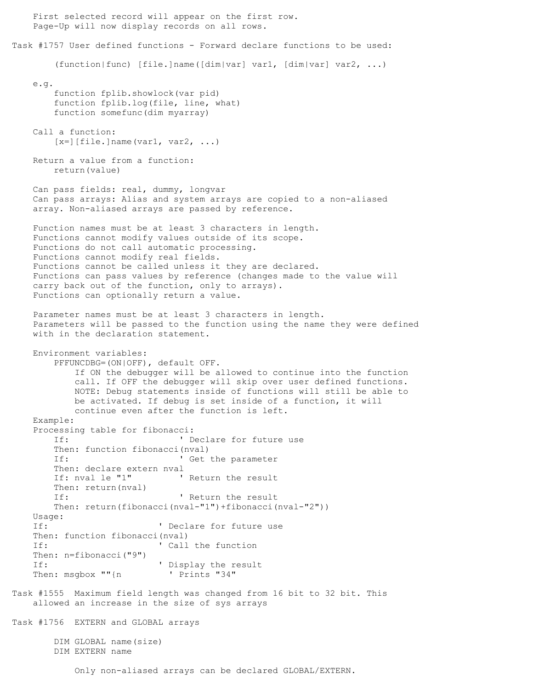First selected record will appear on the first row. Page-Up will now display records on all rows. Task #1757 User defined functions - Forward declare functions to be used: (function|func) [file.]name([dim|var] var1, [dim|var] var2, ...) e.g. function fplib.showlock(var pid) function fplib.log(file, line, what) function somefunc(dim myarray) Call a function:  $[x=] [file.]$ name(var1, var2, ...) Return a value from a function: return(value) Can pass fields: real, dummy, longvar Can pass arrays: Alias and system arrays are copied to a non-aliased array. Non-aliased arrays are passed by reference. Function names must be at least 3 characters in length. Functions cannot modify values outside of its scope. Functions do not call automatic processing. Functions cannot modify real fields. Functions cannot be called unless it they are declared. Functions can pass values by reference (changes made to the value will carry back out of the function, only to arrays). Functions can optionally return a value. Parameter names must be at least 3 characters in length. Parameters will be passed to the function using the name they were defined with in the declaration statement. Environment variables: PFFUNCDBG=(ON|OFF), default OFF. If ON the debugger will be allowed to continue into the function call. If OFF the debugger will skip over user defined functions. NOTE: Debug statements inside of functions will still be able to be activated. If debug is set inside of a function, it will continue even after the function is left. Example: Processing table for fibonacci: If:  $\qquad \qquad$  ' Declare for future use Then: function fibonacci(nval) If:  $\qquad \qquad$  ' Get the parameter Then: declare extern nval If: nval le "1" ' Return the result Then: return(nval) If:  $\qquad \qquad$  ' Return the result Then: return(fibonacci(nval-"1")+fibonacci(nval-"2")) Usage: If:  $\qquad \qquad$  ' Declare for future use Then: function fibonacci(nval) If:  $\qquad \qquad$  ' Call the function Then: n=fibonacci("9") If:  $\qquad \qquad$  ' Display the result Then: msgbox ""{n ' Prints "34" Task #1555 Maximum field length was changed from 16 bit to 32 bit. This allowed an increase in the size of sys arrays Task #1756 EXTERN and GLOBAL arrays DIM GLOBAL name(size) DIM EXTERN name Only non-aliased arrays can be declared GLOBAL/EXTERN.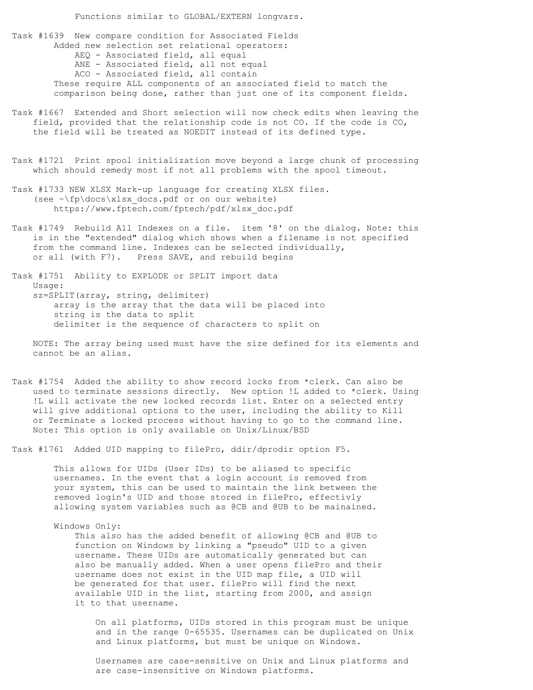Functions similar to GLOBAL/EXTERN longvars.

Task #1639 New compare condition for Associated Fields Added new selection set relational operators: AEQ - Associated field, all equal ANE - Associated field, all not equal ACO - Associated field, all contain These require ALL components of an associated field to match the comparison being done, rather than just one of its component fields.

- Task #1667 Extended and Short selection will now check edits when leaving the field, provided that the relationship code is not CO. If the code is CO, the field will be treated as NOEDIT instead of its defined type.
- Task #1721 Print spool initialization move beyond a large chunk of processing which should remedy most if not all problems with the spool timeout.
- Task #1733 NEW XLSX Mark-up language for creating XLSX files. (see  $\lnot\text{fp}\ddot{o}c\text{s}\x$ lsx docs.pdf or on our website) https://www.fptech.com/fptech/pdf/xlsx\_doc.pdf
- Task #1749 Rebuild All Indexes on a file. item '8' on the dialog. Note: this is in the "extended" dialog which shows when a filename is not specified from the command line. Indexes can be selected individually, or all (with F7). Press SAVE, and rebuild begins

Task #1751 Ability to EXPLODE or SPLIT import data Usage: sz=SPLIT(array, string, delimiter) array is the array that the data will be placed into string is the data to split delimiter is the sequence of characters to split on

NOTE: The array being used must have the size defined for its elements and cannot be an alias.

Task #1754 Added the ability to show record locks from \*clerk. Can also be used to terminate sessions directly. New option !L added to \*clerk. Using !L will activate the new locked records list. Enter on a selected entry will give additional options to the user, including the ability to Kill or Terminate a locked process without having to go to the command line. Note: This option is only available on Unix/Linux/BSD

Task #1761 Added UID mapping to filePro, ddir/dprodir option F5.

This allows for UIDs (User IDs) to be aliased to specific usernames. In the event that a login account is removed from your system, this can be used to maintain the link between the removed login's UID and those stored in filePro, effectivly allowing system variables such as @CB and @UB to be mainained.

## Windows Only:

This also has the added benefit of allowing @CB and @UB to function on Windows by linking a "pseudo" UID to a given username. These UIDs are automatically generated but can also be manually added. When a user opens filePro and their username does not exist in the UID map file, a UID will be generated for that user. filePro will find the next available UID in the list, starting from 2000, and assign it to that username.

On all platforms, UIDs stored in this program must be unique and in the range 0-65535. Usernames can be duplicated on Unix and Linux platforms, but must be unique on Windows.

Usernames are case-sensitive on Unix and Linux platforms and are case-insensitive on Windows platforms.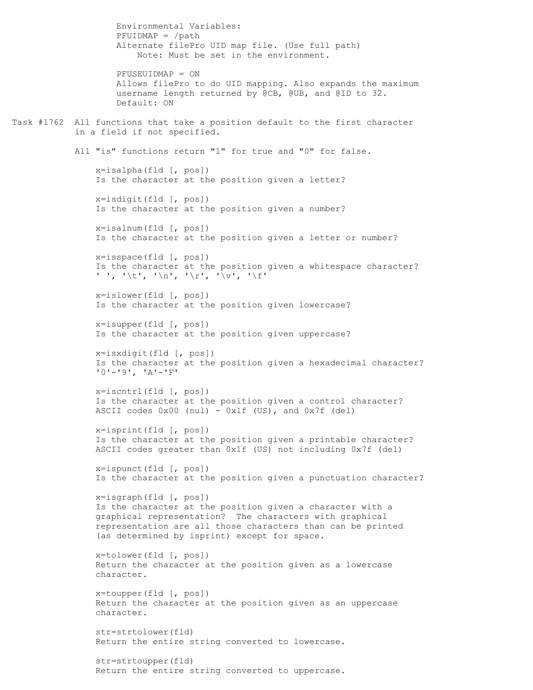Environmental Variables:  $PFUIDMAP = /path$ Alternate filePro UID map file. (Use full path) Note: Must be set in the environment. PFUSEUIDMAP = ON Allows filePro to do UID mapping. Also expands the maximum username length returned by @CB, @UB, and @ID to 32. Default: ON Task #1762 All functions that take a position default to the first character in a field if not specified. All "is" functions return "1" for true and "0" for false. x=isalpha(fld [, pos]) Is the character at the position given a letter? x=isdigit(fld [, pos]) Is the character at the position given a number? x=isalnum(fld [, pos]) Is the character at the position given a letter or number? x=isspace(fld [, pos]) Is the character at the position given a whitespace character? ' ', '\t', '\n', '\r', '\v', '\f' x=islower(fld [, pos]) Is the character at the position given lowercase? x=isupper(fld [, pos]) Is the character at the position given uppercase? x=isxdigit(fld [, pos]) Is the character at the position given a hexadecimal character? '0'-'9', 'A'-'F' x=iscntrl(fld [, pos]) Is the character at the position given a control character? ASCII codes 0x00 (nul) - 0x1f (US), and 0x7f (del) x=isprint(fld [, pos]) Is the character at the position given a printable character? ASCII codes greater than 0x1f (US) not including 0x7f (del) x=ispunct(fld [, pos]) Is the character at the position given a punctuation character? x=isgraph(fld [, pos]) Is the character at the position given a character with a graphical representation? The characters with graphical representation are all those characters than can be printed (as determined by isprint) except for space. x=tolower(fld [, pos]) Return the character at the position given as a lowercase character. x=toupper(fld [, pos]) Return the character at the position given as an uppercase character. str=strtolower(fld) Return the entire string converted to lowercase. str=strtoupper(fld) Return the entire string converted to uppercase.